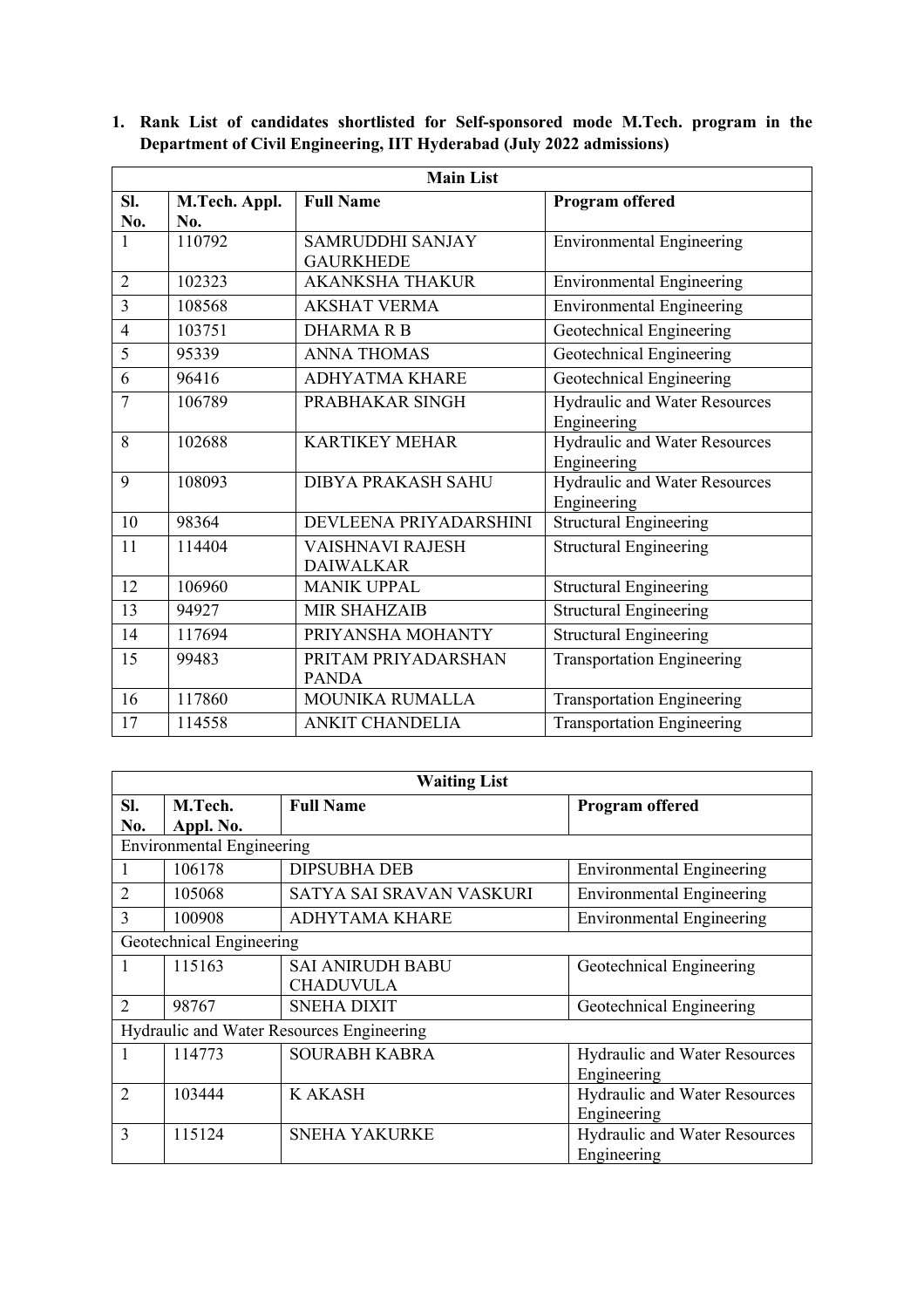| <b>Main List</b> |               |                         |                                   |
|------------------|---------------|-------------------------|-----------------------------------|
| Sl.              | M.Tech. Appl. | <b>Full Name</b>        | Program offered                   |
| No.              | No.           |                         |                                   |
| 1                | 110792        | <b>SAMRUDDHI SANJAY</b> | <b>Environmental Engineering</b>  |
|                  |               | <b>GAURKHEDE</b>        |                                   |
| $\overline{2}$   | 102323        | <b>AKANKSHA THAKUR</b>  | <b>Environmental Engineering</b>  |
| $\overline{3}$   | 108568        | <b>AKSHAT VERMA</b>     | <b>Environmental Engineering</b>  |
| $\overline{4}$   | 103751        | <b>DHARMARB</b>         | Geotechnical Engineering          |
| 5                | 95339         | <b>ANNA THOMAS</b>      | Geotechnical Engineering          |
| 6                | 96416         | <b>ADHYATMA KHARE</b>   | Geotechnical Engineering          |
| 7                | 106789        | PRABHAKAR SINGH         | Hydraulic and Water Resources     |
|                  |               |                         | Engineering                       |
| 8                | 102688        | <b>KARTIKEY MEHAR</b>   | Hydraulic and Water Resources     |
|                  |               |                         | Engineering                       |
| 9                | 108093        | DIBYA PRAKASH SAHU      | Hydraulic and Water Resources     |
|                  |               |                         | Engineering                       |
| 10               | 98364         | DEVLEENA PRIYADARSHINI  | <b>Structural Engineering</b>     |
| 11               | 114404        | <b>VAISHNAVI RAJESH</b> | <b>Structural Engineering</b>     |
|                  |               | <b>DAIWALKAR</b>        |                                   |
| 12               | 106960        | <b>MANIK UPPAL</b>      | <b>Structural Engineering</b>     |
| 13               | 94927         | <b>MIR SHAHZAIB</b>     | <b>Structural Engineering</b>     |
| 14               | 117694        | PRIYANSHA MOHANTY       | <b>Structural Engineering</b>     |
| 15               | 99483         | PRITAM PRIYADARSHAN     | <b>Transportation Engineering</b> |
|                  |               | <b>PANDA</b>            |                                   |
| 16               | 117860        | <b>MOUNIKA RUMALLA</b>  | <b>Transportation Engineering</b> |
| 17               | 114558        | <b>ANKIT CHANDELIA</b>  | <b>Transportation Engineering</b> |

**1. Rank List of candidates shortlisted for Self-sponsored mode M.Tech. program in the Department of Civil Engineering, IIT Hyderabad (July 2022 admissions)**

| <b>Waiting List</b>                       |                                  |                          |                                  |  |
|-------------------------------------------|----------------------------------|--------------------------|----------------------------------|--|
| SI.                                       | M.Tech.                          | <b>Full Name</b>         | Program offered                  |  |
| No.                                       | Appl. No.                        |                          |                                  |  |
|                                           | <b>Environmental Engineering</b> |                          |                                  |  |
|                                           | 106178                           | <b>DIPSUBHA DEB</b>      | <b>Environmental Engineering</b> |  |
| $\overline{2}$                            | 105068                           | SATYA SAI SRAVAN VASKURI | <b>Environmental Engineering</b> |  |
| 3                                         | 100908                           | ADHYTAMA KHARE           | <b>Environmental Engineering</b> |  |
| Geotechnical Engineering                  |                                  |                          |                                  |  |
|                                           | 115163                           | <b>SAI ANIRUDH BABU</b>  | Geotechnical Engineering         |  |
|                                           |                                  | <b>CHADUVULA</b>         |                                  |  |
| $\overline{2}$                            | 98767                            | <b>SNEHA DIXIT</b>       | Geotechnical Engineering         |  |
| Hydraulic and Water Resources Engineering |                                  |                          |                                  |  |
| 1                                         | 114773                           | <b>SOURABH KABRA</b>     | Hydraulic and Water Resources    |  |
|                                           |                                  |                          | Engineering                      |  |
| $\overline{2}$                            | 103444                           | <b>KAKASH</b>            | Hydraulic and Water Resources    |  |
|                                           |                                  |                          | Engineering                      |  |
| 3                                         | 115124                           | <b>SNEHA YAKURKE</b>     | Hydraulic and Water Resources    |  |
|                                           |                                  |                          | Engineering                      |  |